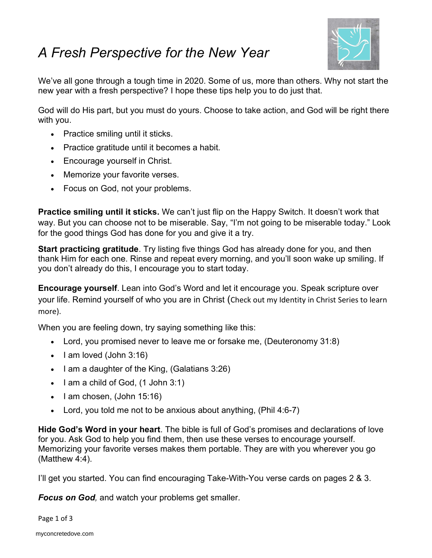## [A Fresh Perspective for the New Year](https://myconcretedove.com/confessions-of-a-caregiver-episode-8-fighting-for-your-smile-with-fresh-perspective/)



We've all gone through a tough time in 2020. Some of us, more than others. Why not start the new year with a fresh perspective? I hope these tips help you to do just that.

God will do His part, but you must do yours. Choose to take action, and God will be right there with you.

- Practice smiling until it sticks.
- Practice gratitude until it becomes a habit.
- Encourage yourself in Christ.
- Memorize your favorite verses.
- Focus on God, not your problems.

**Practice smiling until it sticks.** We can't just flip on the Happy Switch. It doesn't work that way. But you can choose not to be miserable. Say, "I'm not going to be miserable today." Look for the good things God has done for you and give it a try.

**Start practicing gratitude**. Try listing five things God has already done for you, and then thank Him for each one. Rinse and repeat every morning, and you'll soon wake up smiling. If you don't already do this, I encourage you to start today.

Encourage yourself. Lean into God's Word and let it encourage you. Speak scripture over your life. Remind yourself of who you are in Christ (Check out my [Identity in Christ Series](https://myconcretedove.com/28-day-writing-challeng-2020/) to learn more).

When you are feeling down, try saying something like this:

- Lord, you promised never to leave me or forsake me, (Deuteronomy 31:8)
- $\bullet$  | am loved (John 3:16)
- $\bullet$  I am a daughter of the King, (Galatians 3:26)
- $\bullet$  I am a child of God,  $(1$  John 3:1)
- $\bullet$  I am chosen, (John 15:16)
- Lord, you told me not to be anxious about anything, (Phil 4:6-7)

Hide God's Word in your heart. The bible is full of God's promises and declarations of love for you. Ask God to help you find them, then use these verses to encourage yourself. Memorizing your favorite verses makes them portable. They are with you wherever you go (Matthew 4:4).

I'll get you started. You can find encouraging Take-With-You verse cards on pages 2 & 3.

**Focus on God, and watch your problems get smaller.** 

Page 1 of 3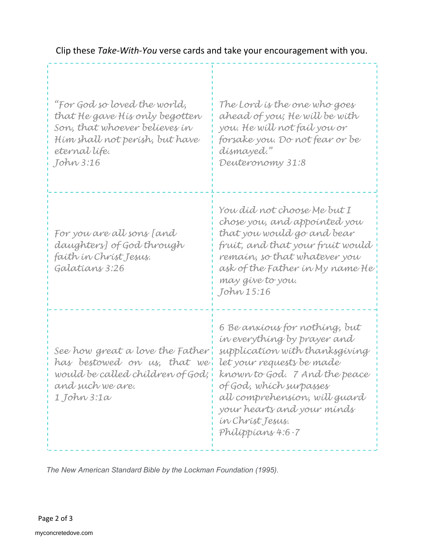## Clip these Take-With-You verse cards and take your encouragement with you.

| "For God so loved the world,<br>that He gave His only begotten<br>Son, that whoever believes in<br>Hím shall not þerísh, but have<br>eternal lífe.<br>John 3:16 | The Lord is the one who goes<br>ahead of you; He will be with<br>you. He will not fail you or<br>forsake you. Do not fear or be<br>dísmayed."<br>Deuteronomy 31:8                                                                                                                               |
|-----------------------------------------------------------------------------------------------------------------------------------------------------------------|-------------------------------------------------------------------------------------------------------------------------------------------------------------------------------------------------------------------------------------------------------------------------------------------------|
| For you are all sons [and<br>daughters] of God through<br>faíth ín Chríst Jesus.<br>Galatians 3:26                                                              | You díd not choose Me but I<br>chose you, and appointed you<br>that you would go and bear<br>fruít, and that your fruít would<br>remain, so that whatever you<br>ask of the Father in My name He<br>may give to you.<br>John 15:16                                                              |
| See how great a love the Father<br>has bestowed on us, that we'<br>would be called children of God;<br>and such we are.<br>1 John 3:1a                          | 6 Be anxíous for nothing, but<br>in everything by prayer and<br>supplication with thanksgiving<br>let your requests be made<br>known to God. 7 And the peace<br>of God, which surpasses<br>all comprehension, will guard<br>your hearts and your minds<br>in Christ Jesus.<br>Philippians 4:6-7 |

The New American Standard Bible by the Lockman Foundation (1995).